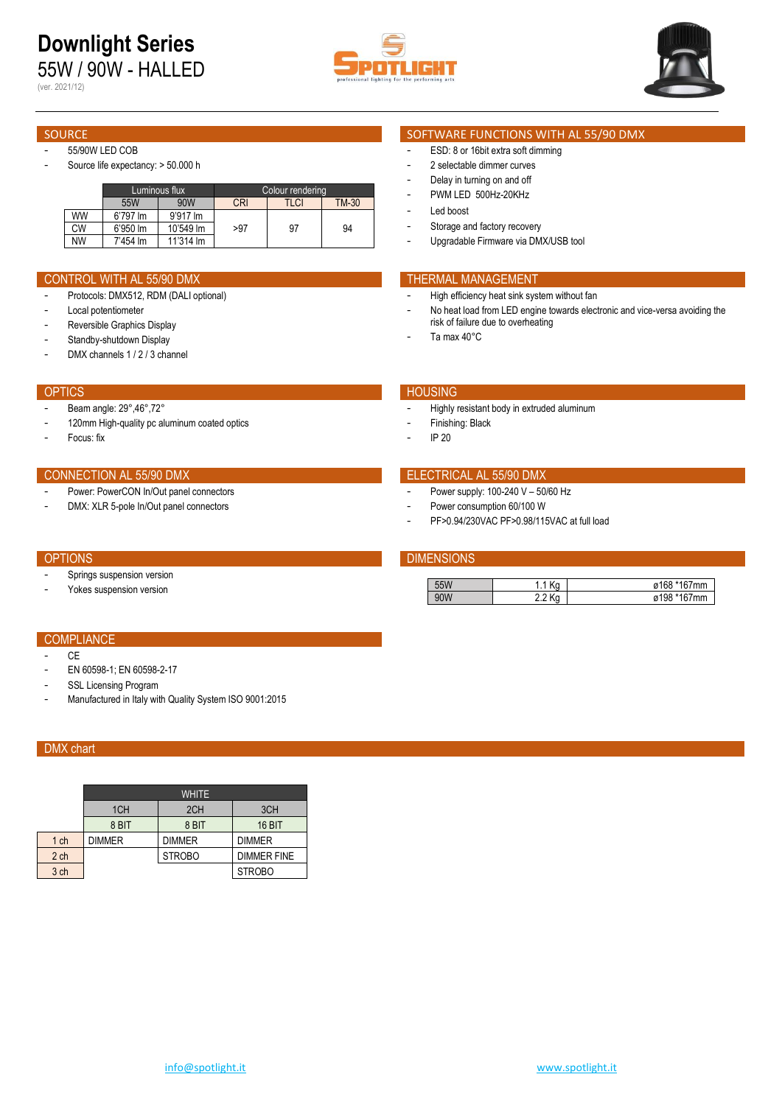55W / 90W - HALLED (ver. 2021/12)





### - 55/90W LED COB

Source life expectancy: > 50.000 h

|    |                      | Luminous flux | Colour rendering |      |              |  |  |  |
|----|----------------------|---------------|------------------|------|--------------|--|--|--|
|    | 55W                  | 90W           | <b>CRI</b>       | TLCI | <b>TM-30</b> |  |  |  |
| WW | 6'797 lm             | 9'917 lm      |                  |      |              |  |  |  |
| СW | $6'950 \, \text{Im}$ | 10'549 lm     | >97              | 97   | 94           |  |  |  |
| NW | 7'454 lm             | 11'314 lm     |                  |      |              |  |  |  |

### CONTROL WITH AL 55/90 DMX THERMAL MANAGEMENT

- Protocols: DMX512, RDM (DALI optional)
- Local potentiometer
- Reversible Graphics Display
- Standby-shutdown Display
- DMX channels 1 / 2 / 3 channel

### OPTICS **Example 2018 The Contract of Contract Contract Contract Contract Contract Contract Contract Contract Contract Contract Contract Contract Contract Contract Contract Contract Contract Contract Contract Contract Contr**

- Beam angle: 29°,46°,72°
- 120mm High-quality pc aluminum coated optics
- Focus: fix

### CONNECTION AL 55/90 DMX ELECTRICAL AL 55/90 DMX

- Power: PowerCON In/Out panel connectors
- DMX: XLR 5-pole In/Out panel connectors

- Springs suspension version
- Yokes suspension version

### SOURCE SOURCE SOFTWARE FUNCTIONS WITH AL 55/90 DMX

- ESD: 8 or 16bit extra soft dimming
- 2 selectable dimmer curves
- Delay in turning on and off
- PWM LED 500Hz-20KHz
- Led boost
- Storage and factory recovery
- Upgradable Firmware via DMX/USB tool

- High efficiency heat sink system without fan
- No heat load from LED engine towards electronic and vice-versa avoiding the risk of failure due to overheating
- Ta max 40°C

- Highly resistant body in extruded aluminum
- Finishing: Black
- IP 20

- Power supply: 100-240 V 50/60 Hz
- Power consumption 60/100 W
- PF>0.94/230VAC PF>0.98/115VAC at full load

### OPTIONS **DIMENSIONS**

|   | . .<br> | Ø |
|---|---------|---|
| u | . .     | a |

### **COMPLIANCE**

- CE
- EN 60598-1; EN 60598-2-17
- SSL Licensing Program
- Manufactured in Italy with Quality System ISO 9001:2015

## DMX chart

|                 | <b>WHITE</b>    |               |                    |  |  |  |  |  |  |  |
|-----------------|-----------------|---------------|--------------------|--|--|--|--|--|--|--|
|                 | 1 <sub>CH</sub> | 2CH           | 3CH                |  |  |  |  |  |  |  |
|                 | 8 BIT           | 8 BIT         | <b>16 BIT</b>      |  |  |  |  |  |  |  |
| 1 ch            | <b>DIMMER</b>   | <b>DIMMER</b> | <b>DIMMER</b>      |  |  |  |  |  |  |  |
| 2 <sub>ch</sub> |                 | <b>STROBO</b> | <b>DIMMER FINE</b> |  |  |  |  |  |  |  |
| 3 ch            |                 |               | <b>STROBO</b>      |  |  |  |  |  |  |  |